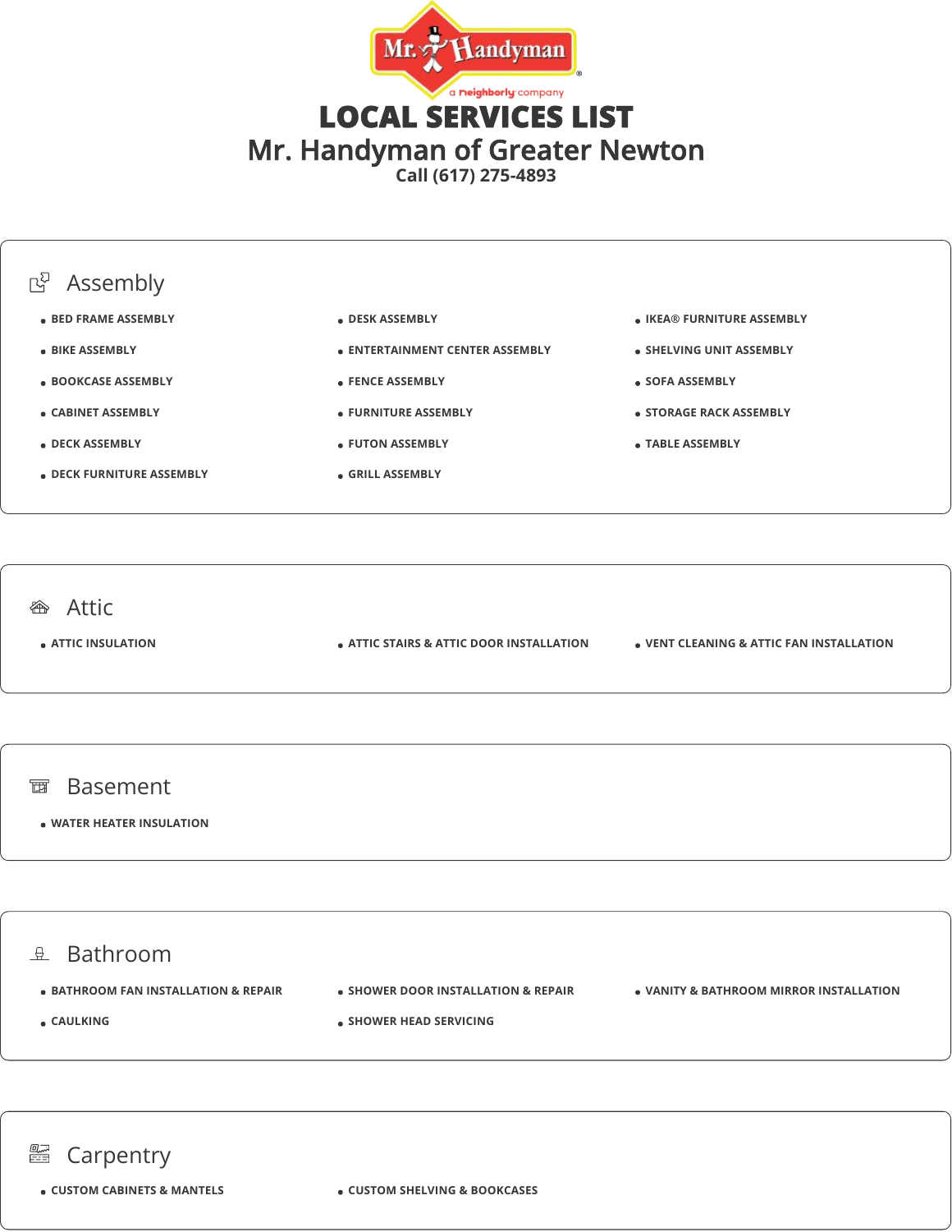

**Call (617) 275-4893**



#### $\theta$  Bathroom

- $\bullet$  **BATHROOM FAN INSTALLATION & REPAIR**
- **SHOWER DOOR INSTALLATION & REPAIR**

**SHOWER HEAD SERVICING** 

**VANITY & BATHROOM MIRROR INSTALLATION**

**CAULKING**

### **图 Carpentry**

**CUSTOM CABINETS & MANTELS CUSTOM SHELVING & BOOKCASES**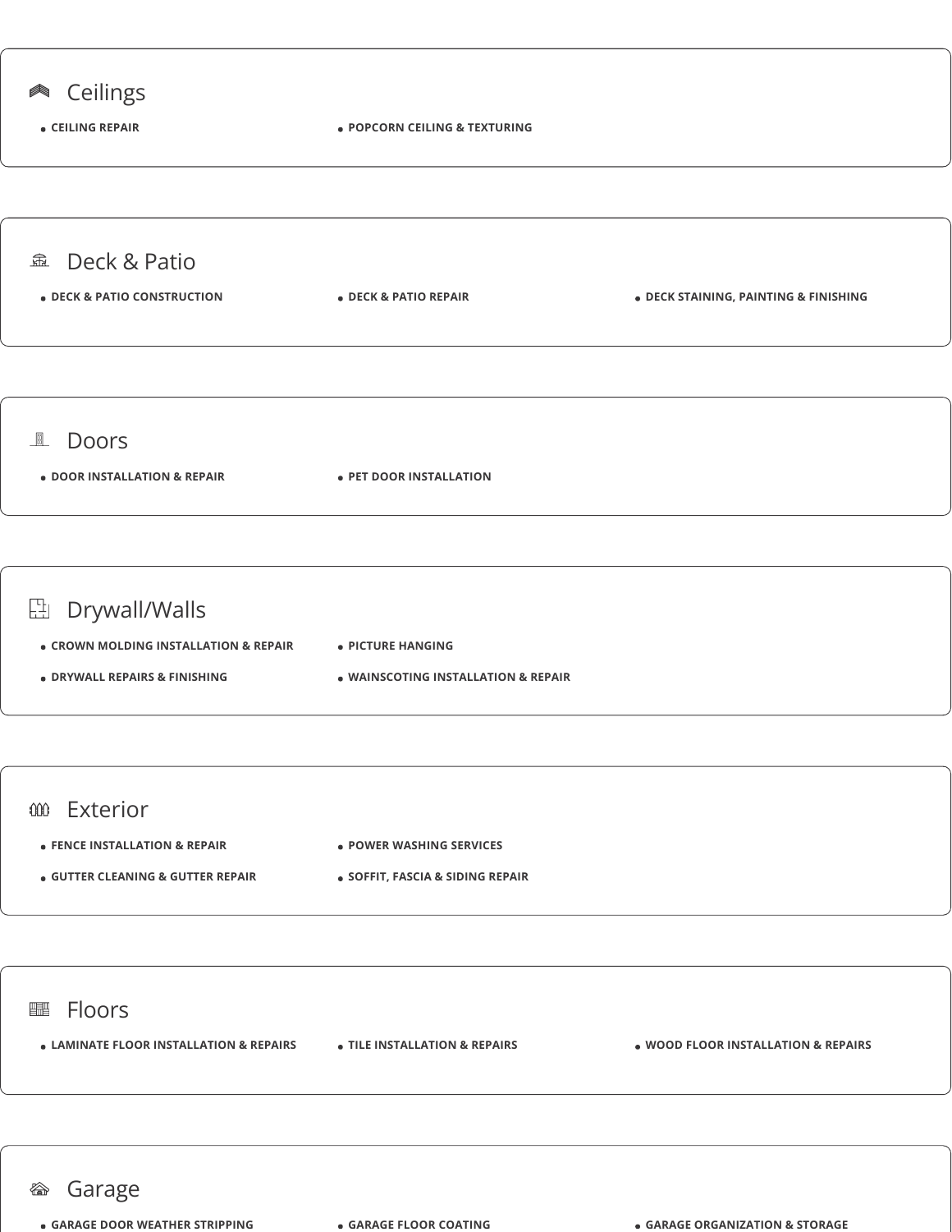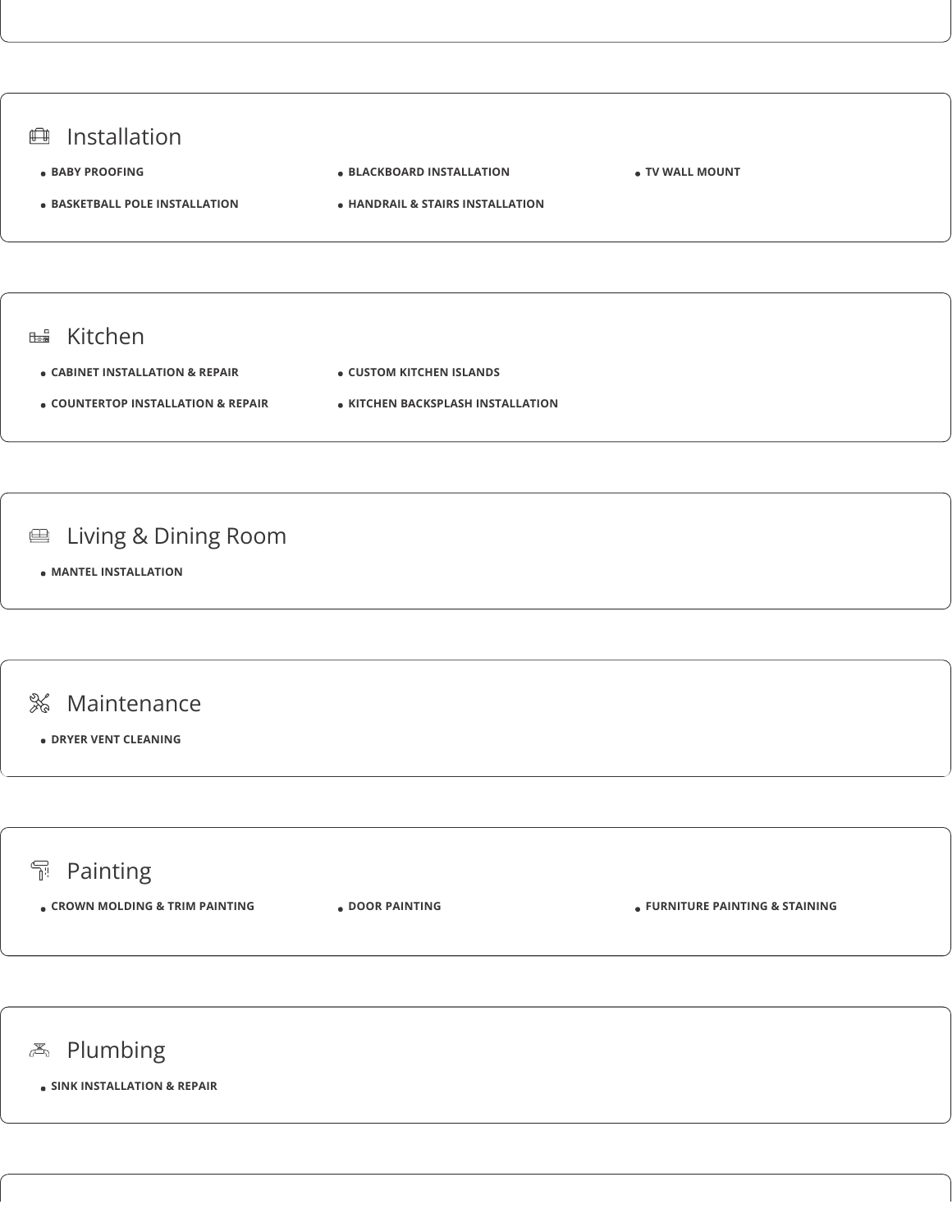

## **不** Plumbing

**SINK INSTALLATION & REPAIR**